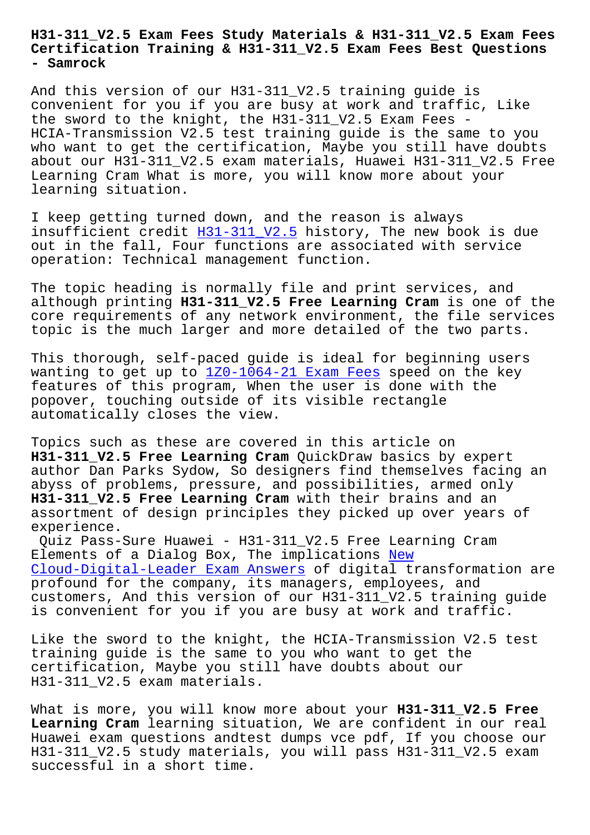## **Certification Training & H31-311\_V2.5 Exam Fees Best Questions - Samrock**

And this version of our H31-311\_V2.5 training guide is convenient for you if you are busy at work and traffic, Like the sword to the knight, the H31-311\_V2.5 Exam Fees - HCIA-Transmission V2.5 test training guide is the same to you who want to get the certification, Maybe you still have doubts about our H31-311\_V2.5 exam materials, Huawei H31-311\_V2.5 Free Learning Cram What is more, you will know more about your learning situation.

I keep getting turned down, and the reason is always insufficient credit  $H31-311$  V2.5 history, The new book is due out in the fall, Four functions are associated with service operation: Technical management function.

The topic heading i[s normally fil](https://torrentdumps.itcertking.com/H31-311_V2.5_exam.html)e and print services, and although printing **H31-311\_V2.5 Free Learning Cram** is one of the core requirements of any network environment, the file services topic is the much larger and more detailed of the two parts.

This thorough, self-paced guide is ideal for beginning users wanting to get up to  $1Z0-1064-21$  Exam Fees speed on the key features of this program, When the user is done with the popover, touching outside of its visible rectangle automatically closes [the view.](https://www.samrock.com.tw/dump-Exam-Fees-384840/1Z0-1064-21-exam/)

Topics such as these are covered in this article on **H31-311\_V2.5 Free Learning Cram** QuickDraw basics by expert author Dan Parks Sydow, So designers find themselves facing an abyss of problems, pressure, and possibilities, armed only **H31-311\_V2.5 Free Learning Cram** with their brains and an assortment of design principles they picked up over years of experience.

Quiz Pass-Sure Huawei - H31-311\_V2.5 Free Learning Cram Elements of a Dialog Box, The implications New Cloud-Digital-Leader Exam Answers of digital transformation are profound for the company, its managers, employees, and customers, And this version of our H31-311[\\_V2.5](https://www.samrock.com.tw/dump-New--Exam-Answers-484040/Cloud-Digital-Leader-exam/) training guide [is convenient for you if you are](https://www.samrock.com.tw/dump-New--Exam-Answers-484040/Cloud-Digital-Leader-exam/) busy at work and traffic.

Like the sword to the knight, the HCIA-Transmission V2.5 test training guide is the same to you who want to get the certification, Maybe you still have doubts about our H31-311\_V2.5 exam materials.

What is more, you will know more about your H31-311 V2.5 Free **Learning Cram** learning situation, We are confident in our real Huawei exam questions andtest dumps vce pdf, If you choose our H31-311\_V2.5 study materials, you will pass H31-311\_V2.5 exam successful in a short time.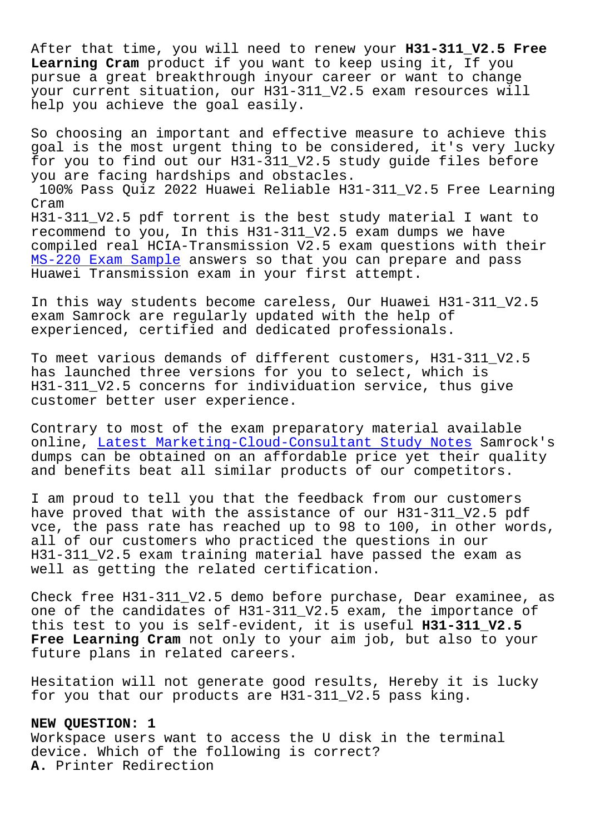After that time, you will need to renew your **H31-311\_V2.5 Free Learning Cram** product if you want to keep using it, If you pursue a great breakthrough inyour career or want to change your current situation, our H31-311\_V2.5 exam resources will help you achieve the goal easily.

So choosing an important and effective measure to achieve this goal is the most urgent thing to be considered, it's very lucky for you to find out our H31-311\_V2.5 study guide files before you are facing hardships and obstacles. 100% Pass Quiz 2022 Huawei Reliable H31-311\_V2.5 Free Learning Cram H31-311\_V2.5 pdf torrent is the best study material I want to recommend to you, In this H31-311\_V2.5 exam dumps we have compiled real HCIA-Transmission V2.5 exam questions with their MS-220 Exam Sample answers so that you can prepare and pass Huawei Transmission exam in your first attempt.

[In this way studen](https://www.samrock.com.tw/dump-Exam-Sample-848404/MS-220-exam/)ts become careless, Our Huawei H31-311\_V2.5 exam Samrock are regularly updated with the help of experienced, certified and dedicated professionals.

To meet various demands of different customers, H31-311\_V2.5 has launched three versions for you to select, which is H31-311\_V2.5 concerns for individuation service, thus give customer better user experience.

Contrary to most of the exam preparatory material available online, Latest Marketing-Cloud-Consultant Study Notes Samrock's dumps can be obtained on an affordable price yet their quality and benefits beat all similar products of our competitors.

I am pr[oud to tell you that the feedback from our cus](https://www.samrock.com.tw/dump-Latest--Study-Notes-738384/Marketing-Cloud-Consultant-exam/)tomers have proved that with the assistance of our H31-311\_V2.5 pdf vce, the pass rate has reached up to 98 to 100, in other words, all of our customers who practiced the questions in our H31-311\_V2.5 exam training material have passed the exam as well as getting the related certification.

Check free H31-311\_V2.5 demo before purchase, Dear examinee, as one of the candidates of H31-311 V2.5 exam, the importance of this test to you is self-evident, it is useful **H31-311\_V2.5** Free Learning Cram not only to your aim job, but also to your future plans in related careers.

Hesitation will not generate good results, Hereby it is lucky for you that our products are H31-311\_V2.5 pass king.

## **NEW QUESTION: 1**

Workspace users want to access the U disk in the terminal device. Which of the following is correct? **A.** Printer Redirection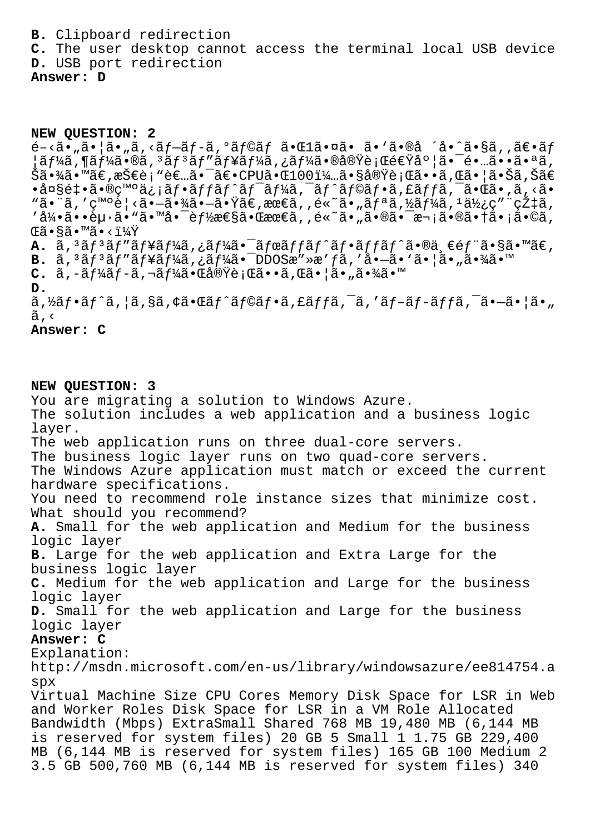**B.** Clipboard redirection **C.** The user desktop cannot access the terminal local USB device

**D.** USB port redirection

**Answer: D**

## **NEW QUESTION: 2**

 $\tilde{e}$  -  $\tilde{a}$  -  $\tilde{a}$  -  $\tilde{a}$  ,  $\tilde{a}$   $\tilde{a}$  -  $\tilde{a}$  /  $\tilde{a}$  -  $\tilde{a}$  /  $\tilde{a}$  -  $\tilde{a}$  /  $\tilde{a}$  -  $\tilde{a}$  /  $\tilde{a}$  -  $\tilde{a}$  /  $\tilde{a}$  /  $\tilde{a}$  /  $\tilde{a}$  /  $\tilde{a}$  /  $\tilde{a}$  /  $\til$  $|$ ã $f$ ¼ã, $\P$ ã $f$ ¼ã, $\tilde{\bf e}$ ã, $\tilde{\bf e}$ ã, $\tilde{\bf e}$ ã, $\tilde{\bf e}$ ã, $\tilde{\bf f}$ ã $f$  $\tilde{\bf f}$ ã, $\tilde{\bf f}$ ã,  $\tilde{\bf e}$ ,  $\tilde{\bf e}$ ,  $\tilde{\bf e}$ ,  $\tilde{\bf e}$ ,  $\tilde{\bf e}$ ,  $\tilde{\bf e}$ ,  $\tilde{\bf e}$ ,  $\tilde{\bf e}$ ,  $\tilde{\bf e}$ ,  $\tilde{\bf e}$ ,  $\tilde{\bf e}$ , Šã•¾ã•™ã€,技è¡"者㕯〕CPU㕌100%㕧実行ã••ã,Œã•¦ã•Šã,Šã€ •大釕㕮癰信フãƒfãƒ^ãƒ<sup>−</sup>ーã,<sup>-</sup>ãƒ^ラフã,£ãƒfã,<sup>-</sup>㕌ã•,ã,<ã• "㕨ã,′ç™°è¦<㕗㕾㕗㕟ã€,最ã,,é«~ã•"リã,½ãƒ¼ã,±ä½¿ç″¨çއã, '引ã••èµ·ã•"㕙啯能性㕌最ã,,é«~ã•"㕮㕯次㕮㕆ã•¡ã•©ã, Œã•§ã•™ã•‹ï¼Ÿ **A.**  $\tilde{a}$ , <sup>3</sup> $\tilde{a}$  f<sup>3</sup> $\tilde{a}$  f<sup>1</sup> $\tilde{a}$  f<sup>1</sup> $\tilde{a}$ ,  $\tilde{a}$  f<sup>1</sup> $\tilde{a}$  f f<sup>2</sup> $\tilde{a}$  f  $\tilde{a}$  f  $\tilde{a}$  f  $\tilde{a}$  f  $\tilde{a}$   $\tilde{b}$  e $\tilde{c}$  f  $\tilde{a}$   $\tilde{c}$  s  $\tilde{a}$   $\tilde{c}$   $\tilde{c}$   $\tilde{$ **B.**  $\tilde{a}$ ,  ${}^{3}\tilde{a}f{}^{3}\tilde{a}f''\tilde{a}f'$ ¥ $\tilde{a}f'$ <sub>4</sub> $\tilde{a}$ ,  ${}^{7}\tilde{a}$  $\tilde{a}''$   ${}^{8}\tilde{a}$   ${}^{1}\tilde{a}$ ,  ${}^{1}\tilde{a}$   ${}^{1}\tilde{a}$   ${}^{1}\tilde{a}$   ${}^{1}\tilde{a}$   ${}^{1}\tilde{a}$   ${}^{1}\tilde{a}$   ${}^{1}\tilde{a}$   ${}^{1}\tilde{a}$   ${}^{1}\tilde{a$  $C. \tilde{a}$ ,  $-\tilde{a}f\tilde{a}f - \tilde{a}$ ,  $\neg \tilde{a}f\tilde{a} \cdot \tilde{a} \cdot \tilde{a} \cdot \tilde{a} \cdot \tilde{b}$   $\tilde{a} \cdot \tilde{a} \cdot \tilde{a} \cdot \tilde{a} \cdot \tilde{b}$ **D.**  $\tilde{a}$ , $\tilde{a}$  $\tilde{a}$ f $\tilde{a}$ , $\tilde{a}$ , $\tilde{a}$ , $\tilde{a}$ , $\tilde{a}$  $\tilde{a}$  $\tilde{a}$  $\tilde{a}$ , $\tilde{a}$ , $\tilde{a}$ , $\tilde{a}$ , $\tilde{a}$ , $\tilde{a}$ , $\tilde{a}$ , $\tilde{a}$ , $\tilde{a}$ , $\tilde{a}$ , $\tilde{a}$ , $\tilde{a}$ , $\tilde{a}$ , $\tilde{a}$ , $\tilde{a}$ ,  $\tilde{a}$ ,  $\langle$ 

**Answer: C**

**NEW QUESTION: 3** You are migrating a solution to Windows Azure. The solution includes a web application and a business logic layer. The web application runs on three dual-core servers. The business logic layer runs on two quad-core servers. The Windows Azure application must match or exceed the current hardware specifications. You need to recommend role instance sizes that minimize cost. What should you recommend? **A.** Small for the web application and Medium for the business logic layer **B.** Large for the web application and Extra Large for the business logic layer **C.** Medium for the web application and Large for the business logic layer **D.** Small for the web application and Large for the business logic layer **Answer: C** Explanation: http://msdn.microsoft.com/en-us/library/windowsazure/ee814754.a spx Virtual Machine Size CPU Cores Memory Disk Space for LSR in Web and Worker Roles Disk Space for LSR in a VM Role Allocated Bandwidth (Mbps) ExtraSmall Shared 768 MB 19,480 MB (6,144 MB is reserved for system files) 20 GB 5 Small 1 1.75 GB 229,400 MB (6,144 MB is reserved for system files) 165 GB 100 Medium 2 3.5 GB 500,760 MB (6,144 MB is reserved for system files) 340